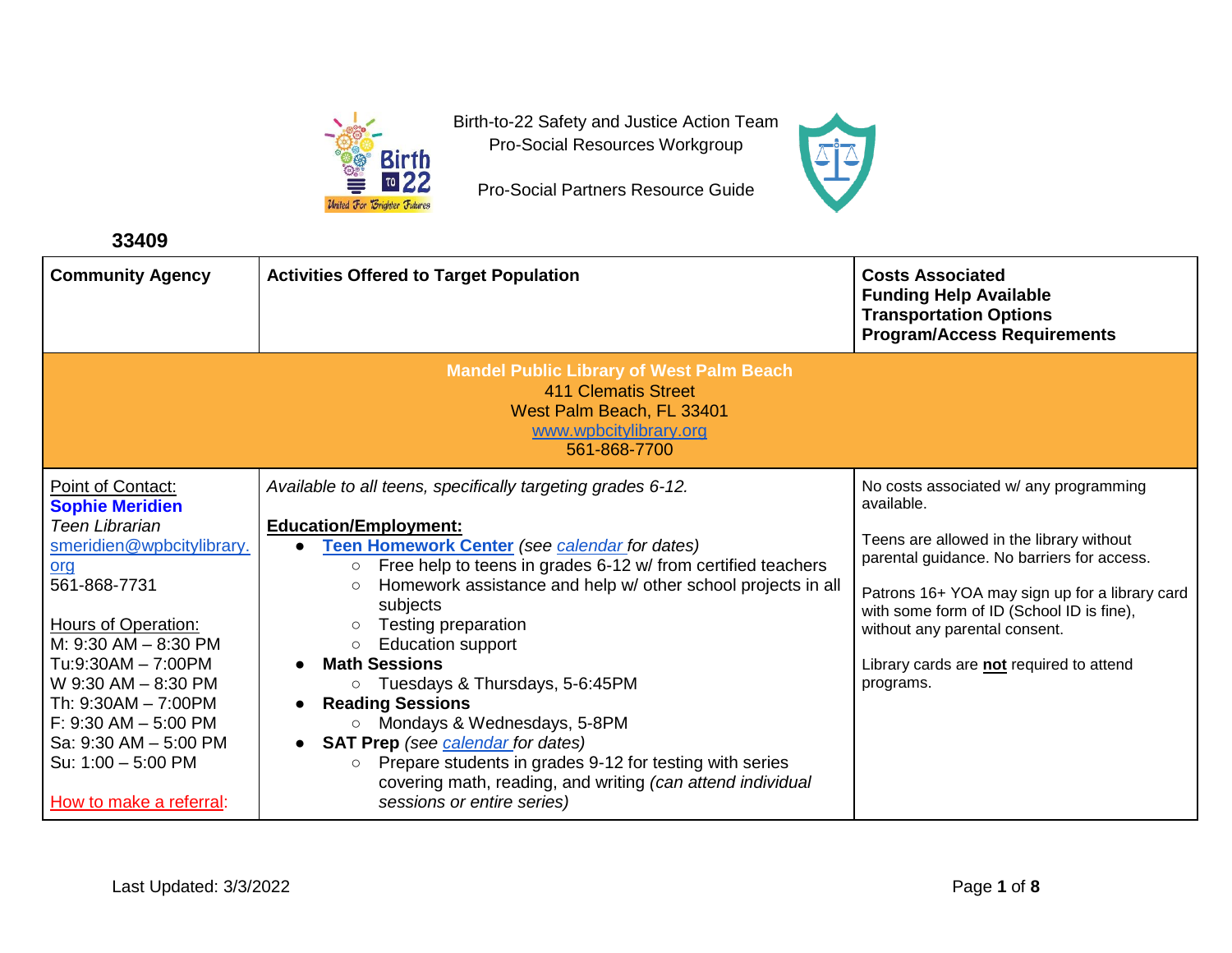

Birth-to-22 Safety and Justice Action Team Pro-Social Resources Workgroup

Pro-Social Partners Resource Guide



**33409**

| <b>Community Agency</b>                                                                                                                                                                                                                                                                                                                                  | <b>Activities Offered to Target Population</b>                                                                                                                                                                                                                                                                                                                                                                                                                                                                                                                                                                                                                                                                                        | <b>Costs Associated</b><br><b>Funding Help Available</b><br><b>Transportation Options</b><br><b>Program/Access Requirements</b>                                                                                                                                                                                                         |  |
|----------------------------------------------------------------------------------------------------------------------------------------------------------------------------------------------------------------------------------------------------------------------------------------------------------------------------------------------------------|---------------------------------------------------------------------------------------------------------------------------------------------------------------------------------------------------------------------------------------------------------------------------------------------------------------------------------------------------------------------------------------------------------------------------------------------------------------------------------------------------------------------------------------------------------------------------------------------------------------------------------------------------------------------------------------------------------------------------------------|-----------------------------------------------------------------------------------------------------------------------------------------------------------------------------------------------------------------------------------------------------------------------------------------------------------------------------------------|--|
|                                                                                                                                                                                                                                                                                                                                                          | <b>Mandel Public Library of West Palm Beach</b><br><b>411 Clematis Street</b><br>West Palm Beach, FL 33401<br>www.wpbcitylibrary.org<br>561-868-7700                                                                                                                                                                                                                                                                                                                                                                                                                                                                                                                                                                                  |                                                                                                                                                                                                                                                                                                                                         |  |
| Point of Contact:<br><b>Sophie Meridien</b><br><b>Teen Librarian</b><br>smeridien@wpbcitylibrary.<br>org<br>561-868-7731<br><b>Hours of Operation:</b><br>M: 9:30 AM - 8:30 PM<br>Tu:9:30AM - 7:00PM<br>W 9:30 AM - 8:30 PM<br>Th: 9:30AM - 7:00PM<br>$F: 9:30$ AM $- 5:00$ PM<br>Sa: 9:30 AM - 5:00 PM<br>Su: 1:00 - 5:00 PM<br>How to make a referral: | Available to all teens, specifically targeting grades 6-12.<br><b>Education/Employment:</b><br>Teen Homework Center (see calendar for dates)<br>Free help to teens in grades 6-12 w/ from certified teachers<br>$\circ$<br>Homework assistance and help w/ other school projects in all<br>$\circ$<br>subjects<br>Testing preparation<br><b>Education support</b><br>$\circ$<br><b>Math Sessions</b><br>○ Tuesdays & Thursdays, 5-6:45PM<br><b>Reading Sessions</b><br>Mondays & Wednesdays, 5-8PM<br>$\bigcirc$<br><b>SAT Prep</b> (see <b>calendar</b> for dates)<br>Prepare students in grades 9-12 for testing with series<br>$\circ$<br>covering math, reading, and writing (can attend individual<br>sessions or entire series) | No costs associated w/ any programming<br>available.<br>Teens are allowed in the library without<br>parental guidance. No barriers for access.<br>Patrons 16+ YOA may sign up for a library card<br>with some form of ID (School ID is fine),<br>without any parental consent.<br>Library cards are not required to attend<br>programs. |  |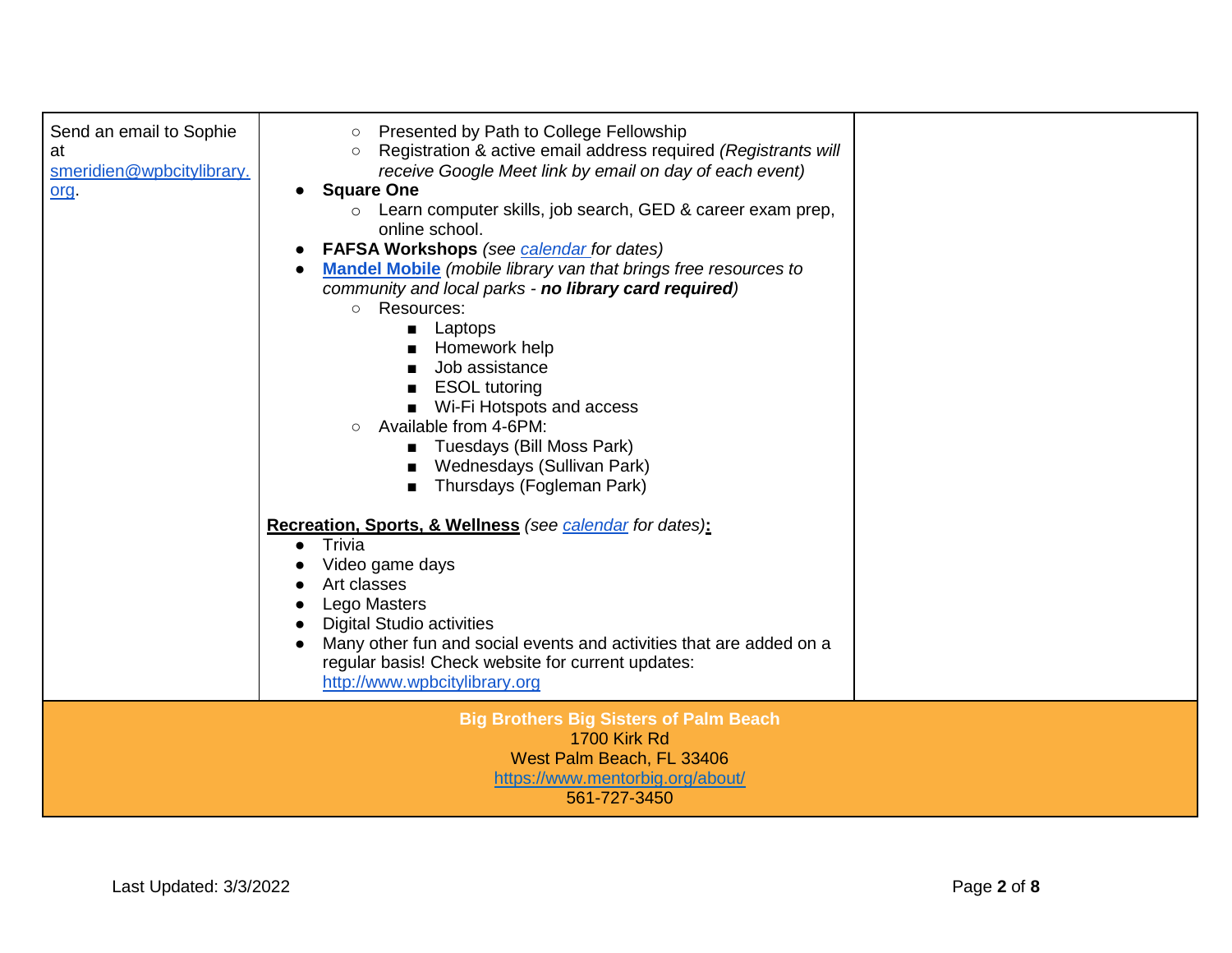| Send an email to Sophie<br>at<br>smeridien@wpbcitylibrary.<br>org. | Presented by Path to College Fellowship<br>$\circ$<br>Registration & active email address required (Registrants will<br>$\circ$<br>receive Google Meet link by email on day of each event)<br><b>Square One</b><br>Learn computer skills, job search, GED & career exam prep,<br>$\circ$<br>online school.<br><b>FAFSA Workshops</b> (see calendar for dates)<br><b>Mandel Mobile</b> (mobile library van that brings free resources to<br>community and local parks - no library card required)<br>Resources:<br>$\circ$<br>Laptops<br>п<br>Homework help<br>Job assistance<br><b>ESOL</b> tutoring<br>Wi-Fi Hotspots and access<br>$\blacksquare$<br>Available from 4-6PM:<br>$\circ$<br>Tuesdays (Bill Moss Park)<br>п<br>Wednesdays (Sullivan Park)<br>Thursdays (Fogleman Park)<br>$\blacksquare$<br>Recreation, Sports, & Wellness (see calendar for dates):<br>Trivia<br>$\bullet$<br>Video game days<br>Art classes<br>Lego Masters<br><b>Digital Studio activities</b><br>Many other fun and social events and activities that are added on a<br>regular basis! Check website for current updates: |  |
|--------------------------------------------------------------------|-------------------------------------------------------------------------------------------------------------------------------------------------------------------------------------------------------------------------------------------------------------------------------------------------------------------------------------------------------------------------------------------------------------------------------------------------------------------------------------------------------------------------------------------------------------------------------------------------------------------------------------------------------------------------------------------------------------------------------------------------------------------------------------------------------------------------------------------------------------------------------------------------------------------------------------------------------------------------------------------------------------------------------------------------------------------------------------------------------------|--|
|                                                                    | <b>Big Brothers Big Sisters of Palm Beach</b><br><b>1700 Kirk Rd</b><br>West Palm Beach, FL 33406<br>https://www.mentorbig.org/about/                                                                                                                                                                                                                                                                                                                                                                                                                                                                                                                                                                                                                                                                                                                                                                                                                                                                                                                                                                       |  |
|                                                                    | http://www.wpbcitylibrary.org<br>561-727-3450                                                                                                                                                                                                                                                                                                                                                                                                                                                                                                                                                                                                                                                                                                                                                                                                                                                                                                                                                                                                                                                               |  |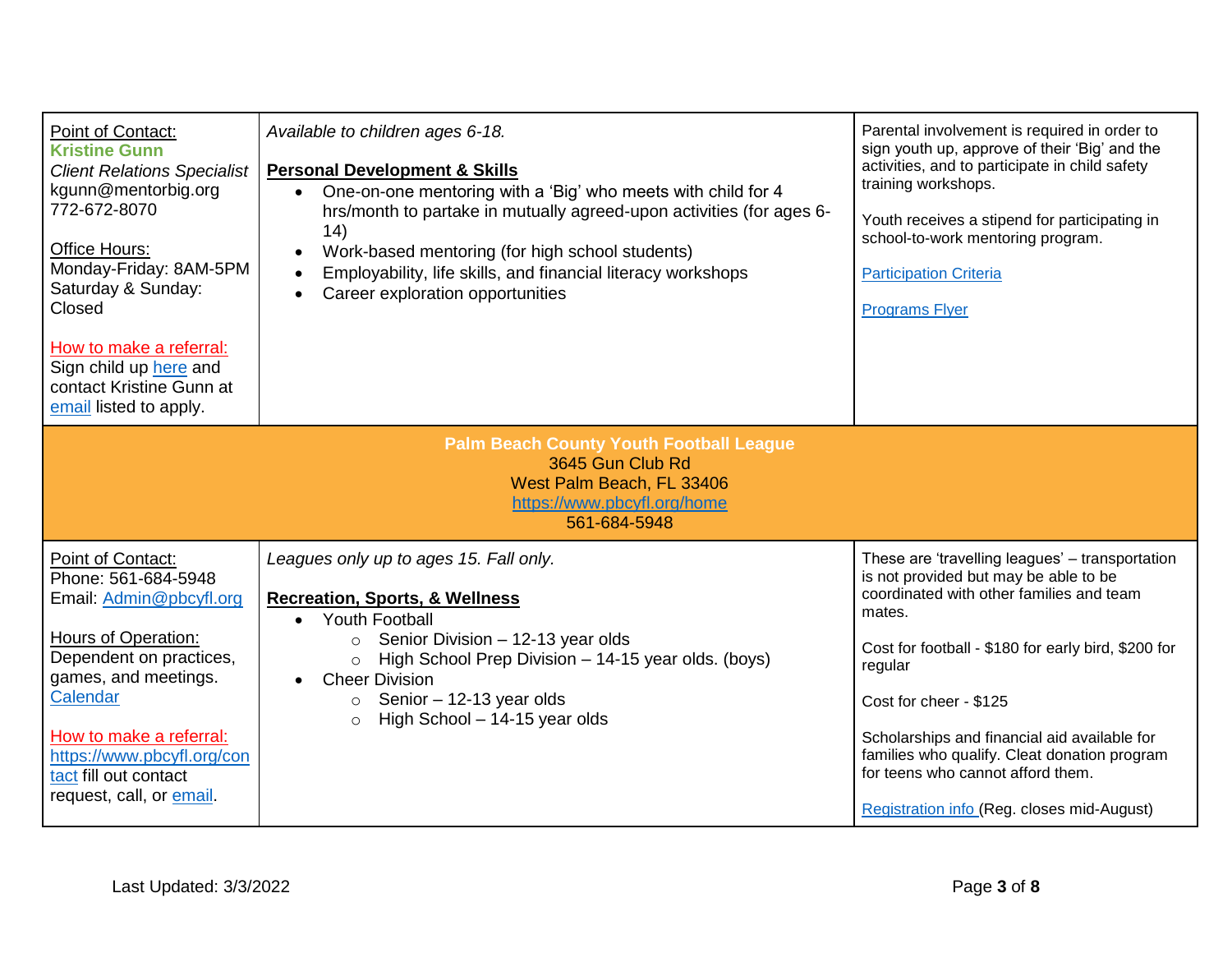| Point of Contact:<br><b>Kristine Gunn</b><br><b>Client Relations Specialist</b><br>kgunn@mentorbig.org<br>772-672-8070<br>Office Hours:<br>Monday-Friday: 8AM-5PM<br>Saturday & Sunday:<br>Closed<br>How to make a referral:<br>Sign child up here and<br>contact Kristine Gunn at<br>email listed to apply. | Available to children ages 6-18.<br><b>Personal Development &amp; Skills</b><br>One-on-one mentoring with a 'Big' who meets with child for 4<br>$\bullet$<br>hrs/month to partake in mutually agreed-upon activities (for ages 6-<br>14)<br>Work-based mentoring (for high school students)<br>$\bullet$<br>Employability, life skills, and financial literacy workshops<br>$\bullet$<br>Career exploration opportunities | Parental involvement is required in order to<br>sign youth up, approve of their 'Big' and the<br>activities, and to participate in child safety<br>training workshops.<br>Youth receives a stipend for participating in<br>school-to-work mentoring program.<br><b>Participation Criteria</b><br><b>Programs Flyer</b>                                                                                                        |  |
|--------------------------------------------------------------------------------------------------------------------------------------------------------------------------------------------------------------------------------------------------------------------------------------------------------------|---------------------------------------------------------------------------------------------------------------------------------------------------------------------------------------------------------------------------------------------------------------------------------------------------------------------------------------------------------------------------------------------------------------------------|-------------------------------------------------------------------------------------------------------------------------------------------------------------------------------------------------------------------------------------------------------------------------------------------------------------------------------------------------------------------------------------------------------------------------------|--|
| <b>Palm Beach County Youth Football League</b><br>3645 Gun Club Rd<br>West Palm Beach, FL 33406<br>https://www.pbcyfl.org/home<br>561-684-5948                                                                                                                                                               |                                                                                                                                                                                                                                                                                                                                                                                                                           |                                                                                                                                                                                                                                                                                                                                                                                                                               |  |
| Point of Contact:<br>Phone: 561-684-5948<br>Email: Admin@pbcyfl.org<br><b>Hours of Operation:</b><br>Dependent on practices,<br>games, and meetings.<br>Calendar<br>How to make a referral:<br>https://www.pbcyfl.org/con<br>tact fill out contact<br>request, call, or email.                               | Leagues only up to ages 15. Fall only.<br><b>Recreation, Sports, &amp; Wellness</b><br><b>Youth Football</b><br>$\bullet$<br>Senior Division - 12-13 year olds<br>High School Prep Division - 14-15 year olds. (boys)<br>$\circ$<br><b>Cheer Division</b><br>$\bullet$<br>Senior $-12-13$ year olds<br>$\circ$<br>High School - 14-15 year olds<br>$\circ$                                                                | These are 'travelling leagues' - transportation<br>is not provided but may be able to be<br>coordinated with other families and team<br>mates.<br>Cost for football - \$180 for early bird, \$200 for<br>regular<br>Cost for cheer - \$125<br>Scholarships and financial aid available for<br>families who qualify. Cleat donation program<br>for teens who cannot afford them.<br>Registration info (Reg. closes mid-August) |  |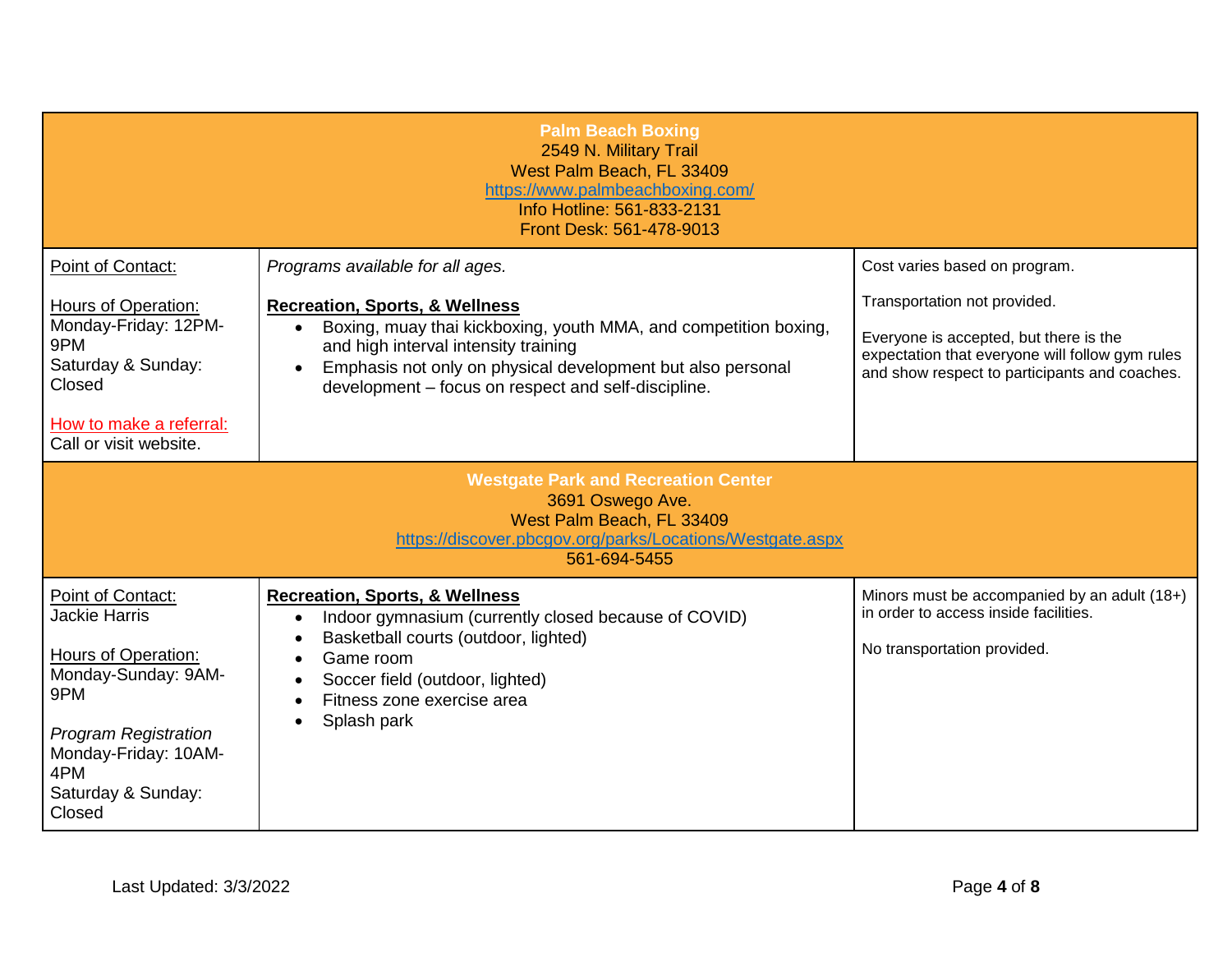|                                                                                                                                                 | <b>Palm Beach Boxing</b><br>2549 N. Military Trail<br>West Palm Beach, FL 33409<br>https://www.palmbeachboxing.com/<br>Info Hotline: 561-833-2131<br>Front Desk: 561-478-9013                                                                                                            |                                                                                                                                                                            |
|-------------------------------------------------------------------------------------------------------------------------------------------------|------------------------------------------------------------------------------------------------------------------------------------------------------------------------------------------------------------------------------------------------------------------------------------------|----------------------------------------------------------------------------------------------------------------------------------------------------------------------------|
| Point of Contact:                                                                                                                               | Programs available for all ages.                                                                                                                                                                                                                                                         | Cost varies based on program.                                                                                                                                              |
| <b>Hours of Operation:</b><br>Monday-Friday: 12PM-<br>9PM<br>Saturday & Sunday:<br>Closed                                                       | <b>Recreation, Sports, &amp; Wellness</b><br>Boxing, muay thai kickboxing, youth MMA, and competition boxing,<br>$\bullet$<br>and high interval intensity training<br>Emphasis not only on physical development but also personal<br>development - focus on respect and self-discipline. | Transportation not provided.<br>Everyone is accepted, but there is the<br>expectation that everyone will follow gym rules<br>and show respect to participants and coaches. |
| How to make a referral:<br>Call or visit website.                                                                                               |                                                                                                                                                                                                                                                                                          |                                                                                                                                                                            |
|                                                                                                                                                 | <b>Westgate Park and Recreation Center</b><br>3691 Oswego Ave.<br>West Palm Beach, FL 33409<br>https://discover.pbcgov.org/parks/Locations/Westgate.aspx<br>561-694-5455                                                                                                                 |                                                                                                                                                                            |
| Point of Contact:<br><b>Jackie Harris</b>                                                                                                       | <b>Recreation, Sports, &amp; Wellness</b><br>Indoor gymnasium (currently closed because of COVID)<br>$\bullet$                                                                                                                                                                           | Minors must be accompanied by an adult (18+)<br>in order to access inside facilities.                                                                                      |
| Hours of Operation:<br>Monday-Sunday: 9AM-<br>9PM<br><b>Program Registration</b><br>Monday-Friday: 10AM-<br>4PM<br>Saturday & Sunday:<br>Closed | Basketball courts (outdoor, lighted)<br>Game room<br>Soccer field (outdoor, lighted)<br>Fitness zone exercise area<br>Splash park                                                                                                                                                        | No transportation provided.                                                                                                                                                |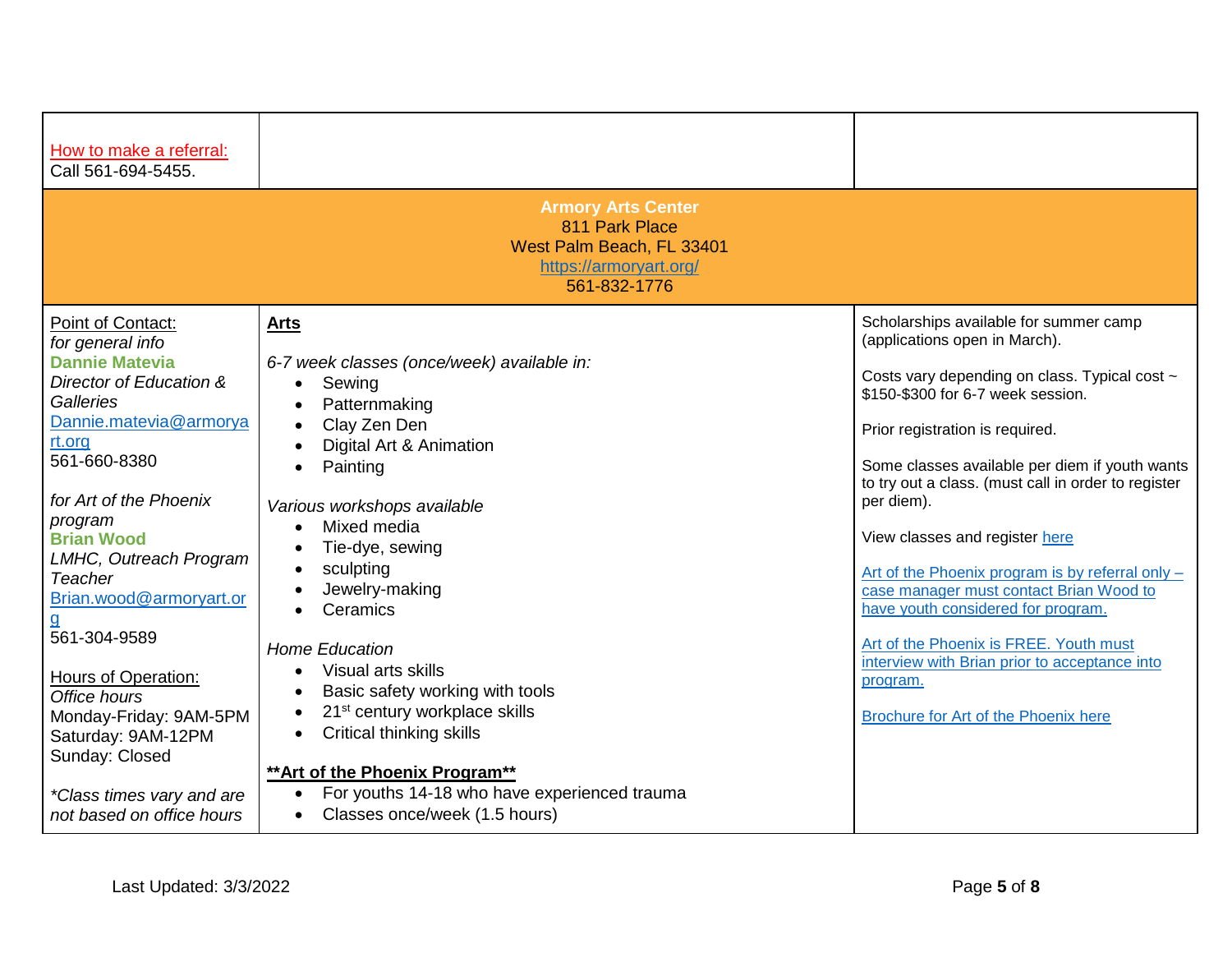| How to make a referral:<br>Call 561-694-5455.                                                                                                                                                                                                                                                                                                                                                                                                                                  |                                                                                                                                                                                                                                                                                                                                                                                                                                                                                                                                                                                            |                                                                                                                                                                                                                                                                                                                                                                                                                                                                                                                                                                                                                                               |
|--------------------------------------------------------------------------------------------------------------------------------------------------------------------------------------------------------------------------------------------------------------------------------------------------------------------------------------------------------------------------------------------------------------------------------------------------------------------------------|--------------------------------------------------------------------------------------------------------------------------------------------------------------------------------------------------------------------------------------------------------------------------------------------------------------------------------------------------------------------------------------------------------------------------------------------------------------------------------------------------------------------------------------------------------------------------------------------|-----------------------------------------------------------------------------------------------------------------------------------------------------------------------------------------------------------------------------------------------------------------------------------------------------------------------------------------------------------------------------------------------------------------------------------------------------------------------------------------------------------------------------------------------------------------------------------------------------------------------------------------------|
|                                                                                                                                                                                                                                                                                                                                                                                                                                                                                | <b>Armory Arts Center</b><br>811 Park Place<br>West Palm Beach, FL 33401<br>https://armoryart.org/<br>561-832-1776                                                                                                                                                                                                                                                                                                                                                                                                                                                                         |                                                                                                                                                                                                                                                                                                                                                                                                                                                                                                                                                                                                                                               |
| Point of Contact:<br>for general info<br><b>Dannie Matevia</b><br>Director of Education &<br>Galleries<br>Dannie.matevia@armorya<br>rt.org<br>561-660-8380<br>for Art of the Phoenix<br>program<br><b>Brian Wood</b><br>LMHC, Outreach Program<br>Teacher<br>Brian.wood@armoryart.or<br>561-304-9589<br><b>Hours of Operation:</b><br>Office hours<br>Monday-Friday: 9AM-5PM<br>Saturday: 9AM-12PM<br>Sunday: Closed<br>*Class times vary and are<br>not based on office hours | <b>Arts</b><br>6-7 week classes (once/week) available in:<br>Sewing<br>$\bullet$<br>Patternmaking<br>Clay Zen Den<br>Digital Art & Animation<br>Painting<br>Various workshops available<br>Mixed media<br>Tie-dye, sewing<br>sculpting<br>Jewelry-making<br>Ceramics<br><b>Home Education</b><br>Visual arts skills<br>$\bullet$<br>Basic safety working with tools<br>21 <sup>st</sup> century workplace skills<br>Critical thinking skills<br>$\bullet$<br>** Art of the Phoenix Program**<br>For youths 14-18 who have experienced trauma<br>Classes once/week (1.5 hours)<br>$\bullet$ | Scholarships available for summer camp<br>(applications open in March).<br>Costs vary depending on class. Typical cost ~<br>\$150-\$300 for 6-7 week session.<br>Prior registration is required.<br>Some classes available per diem if youth wants<br>to try out a class. (must call in order to register<br>per diem).<br>View classes and register here<br>Art of the Phoenix program is by referral only -<br>case manager must contact Brian Wood to<br>have youth considered for program.<br>Art of the Phoenix is FREE. Youth must<br>interview with Brian prior to acceptance into<br>program.<br>Brochure for Art of the Phoenix here |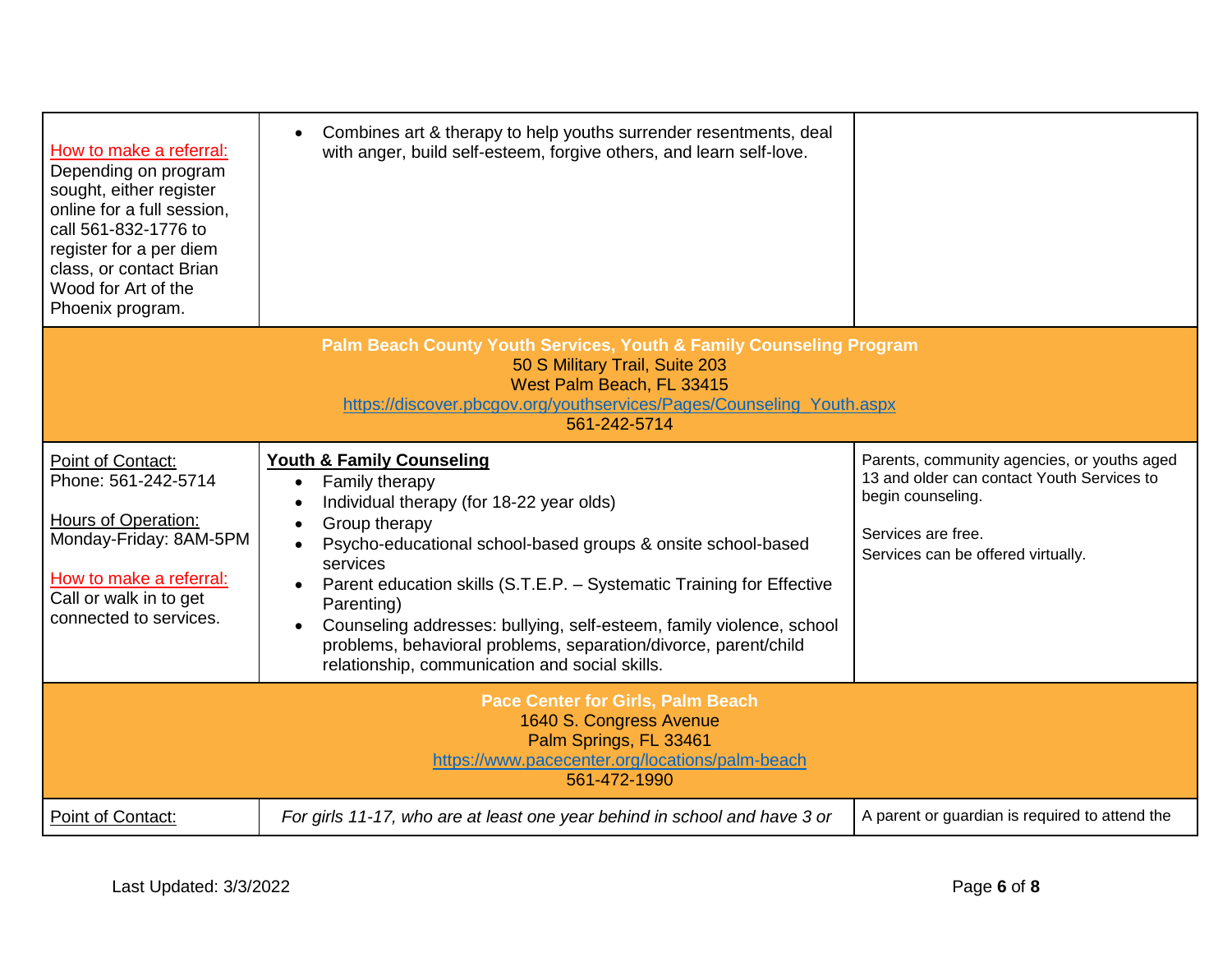| How to make a referral:<br>Depending on program<br>sought, either register<br>online for a full session,<br>call 561-832-1776 to<br>register for a per diem<br>class, or contact Brian<br>Wood for Art of the<br>Phoenix program.      | Combines art & therapy to help youths surrender resentments, deal<br>$\bullet$<br>with anger, build self-esteem, forgive others, and learn self-love.                                                                                                                                                                                                                                                                                                                                                                                   |                                                                                                                                                                            |  |
|----------------------------------------------------------------------------------------------------------------------------------------------------------------------------------------------------------------------------------------|-----------------------------------------------------------------------------------------------------------------------------------------------------------------------------------------------------------------------------------------------------------------------------------------------------------------------------------------------------------------------------------------------------------------------------------------------------------------------------------------------------------------------------------------|----------------------------------------------------------------------------------------------------------------------------------------------------------------------------|--|
| <b>Palm Beach County Youth Services, Youth &amp; Family Counseling Program</b><br>50 S Military Trail, Suite 203<br>West Palm Beach, FL 33415<br>https://discover.pbcgov.org/youthservices/Pages/Counseling_Youth.aspx<br>561-242-5714 |                                                                                                                                                                                                                                                                                                                                                                                                                                                                                                                                         |                                                                                                                                                                            |  |
| Point of Contact:<br>Phone: 561-242-5714<br>Hours of Operation:<br>Monday-Friday: 8AM-5PM<br>How to make a referral:<br>Call or walk in to get<br>connected to services.                                                               | <b>Youth &amp; Family Counseling</b><br>Family therapy<br>$\bullet$<br>Individual therapy (for 18-22 year olds)<br>$\bullet$<br>Group therapy<br>Psycho-educational school-based groups & onsite school-based<br>$\bullet$<br>services<br>Parent education skills (S.T.E.P. - Systematic Training for Effective<br>Parenting)<br>Counseling addresses: bullying, self-esteem, family violence, school<br>$\bullet$<br>problems, behavioral problems, separation/divorce, parent/child<br>relationship, communication and social skills. | Parents, community agencies, or youths aged<br>13 and older can contact Youth Services to<br>begin counseling.<br>Services are free.<br>Services can be offered virtually. |  |
|                                                                                                                                                                                                                                        | <b>Pace Center for Girls, Palm Beach</b><br>1640 S. Congress Avenue<br>Palm Springs, FL 33461<br>https://www.pacecenter.org/locations/palm-beach<br>561-472-1990                                                                                                                                                                                                                                                                                                                                                                        |                                                                                                                                                                            |  |
| Point of Contact:                                                                                                                                                                                                                      | For girls 11-17, who are at least one year behind in school and have 3 or                                                                                                                                                                                                                                                                                                                                                                                                                                                               | A parent or guardian is required to attend the                                                                                                                             |  |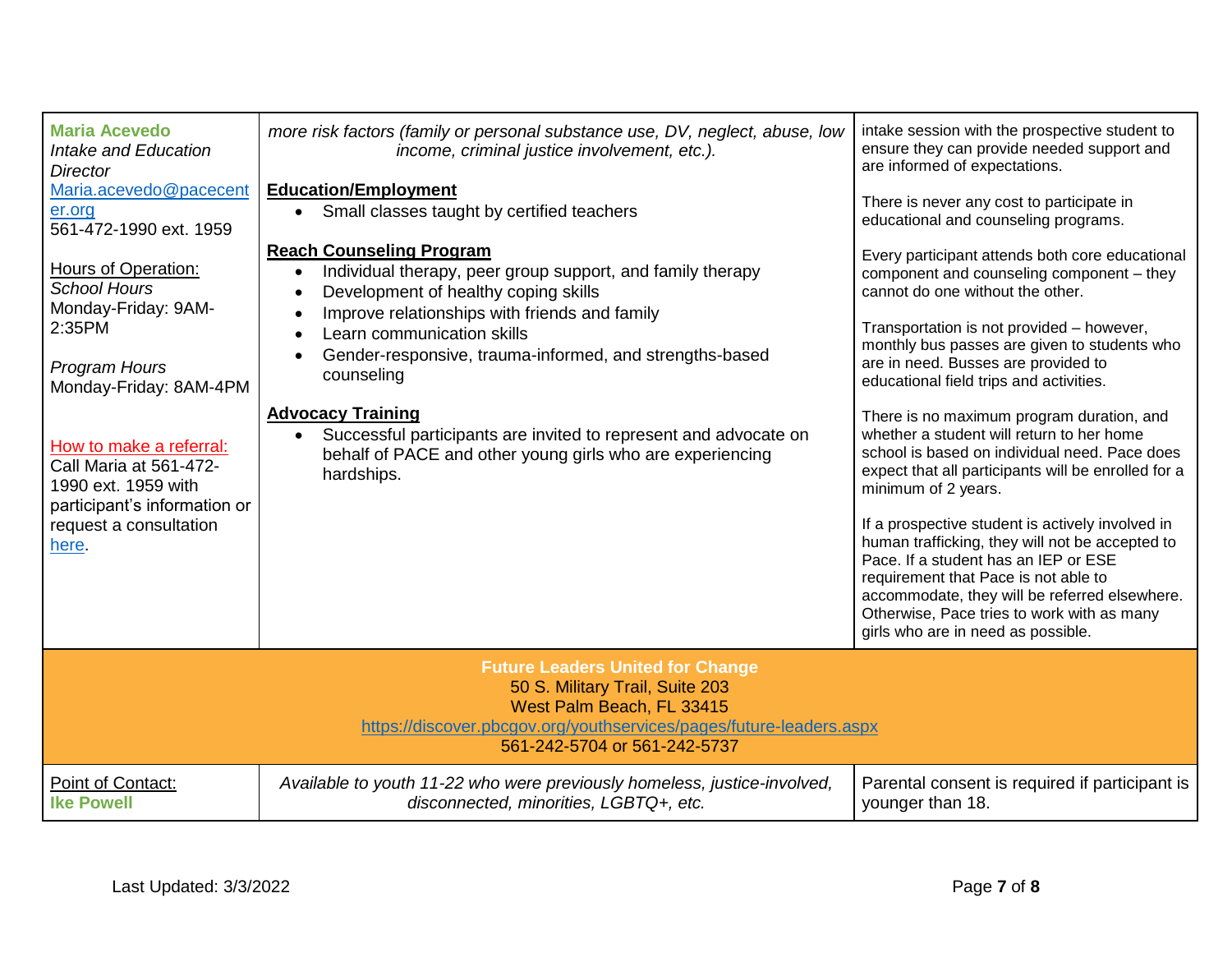| <b>Maria Acevedo</b><br>Intake and Education<br>Director<br>Maria.acevedo@pacecent<br>er.org<br>561-472-1990 ext. 1959<br>Hours of Operation:<br><b>School Hours</b><br>Monday-Friday: 9AM-<br>2:35PM<br><b>Program Hours</b> | more risk factors (family or personal substance use, DV, neglect, abuse, low<br>income, criminal justice involvement, etc.).<br><b>Education/Employment</b><br>Small classes taught by certified teachers<br>$\bullet$<br><b>Reach Counseling Program</b><br>Individual therapy, peer group support, and family therapy<br>$\bullet$<br>Development of healthy coping skills<br>Improve relationships with friends and family<br>$\bullet$<br>Learn communication skills<br>$\bullet$<br>Gender-responsive, trauma-informed, and strengths-based<br>$\bullet$ | intake session with the prospective student to<br>ensure they can provide needed support and<br>are informed of expectations.<br>There is never any cost to participate in<br>educational and counseling programs.<br>Every participant attends both core educational<br>component and counseling component - they<br>cannot do one without the other.<br>Transportation is not provided - however,<br>monthly bus passes are given to students who<br>are in need. Busses are provided to                                                                                                   |
|-------------------------------------------------------------------------------------------------------------------------------------------------------------------------------------------------------------------------------|---------------------------------------------------------------------------------------------------------------------------------------------------------------------------------------------------------------------------------------------------------------------------------------------------------------------------------------------------------------------------------------------------------------------------------------------------------------------------------------------------------------------------------------------------------------|----------------------------------------------------------------------------------------------------------------------------------------------------------------------------------------------------------------------------------------------------------------------------------------------------------------------------------------------------------------------------------------------------------------------------------------------------------------------------------------------------------------------------------------------------------------------------------------------|
| Monday-Friday: 8AM-4PM<br>How to make a referral:<br>Call Maria at 561-472-<br>1990 ext. 1959 with<br>participant's information or<br>request a consultation<br>here.                                                         | counseling<br><b>Advocacy Training</b><br>Successful participants are invited to represent and advocate on<br>behalf of PACE and other young girls who are experiencing<br>hardships.                                                                                                                                                                                                                                                                                                                                                                         | educational field trips and activities.<br>There is no maximum program duration, and<br>whether a student will return to her home<br>school is based on individual need. Pace does<br>expect that all participants will be enrolled for a<br>minimum of 2 years.<br>If a prospective student is actively involved in<br>human trafficking, they will not be accepted to<br>Pace. If a student has an IEP or ESE<br>requirement that Pace is not able to<br>accommodate, they will be referred elsewhere.<br>Otherwise, Pace tries to work with as many<br>girls who are in need as possible. |
| <b>Future Leaders United for Change</b><br>50 S. Military Trail, Suite 203<br>West Palm Beach, FL 33415<br>https://discover.pbcgov.org/youthservices/pages/future-leaders.aspx<br>561-242-5704 or 561-242-5737                |                                                                                                                                                                                                                                                                                                                                                                                                                                                                                                                                                               |                                                                                                                                                                                                                                                                                                                                                                                                                                                                                                                                                                                              |
| Point of Contact:<br><b>Ike Powell</b>                                                                                                                                                                                        | Available to youth 11-22 who were previously homeless, justice-involved,<br>disconnected, minorities, LGBTQ+, etc.                                                                                                                                                                                                                                                                                                                                                                                                                                            | Parental consent is required if participant is<br>younger than 18.                                                                                                                                                                                                                                                                                                                                                                                                                                                                                                                           |